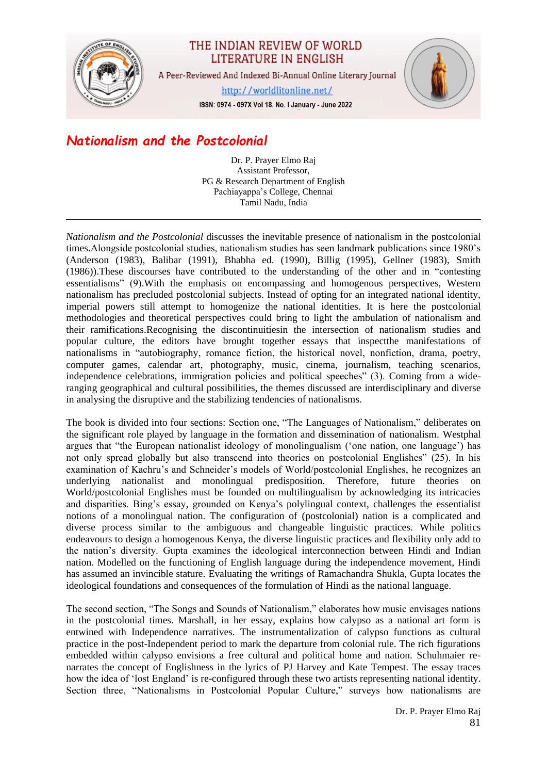

## THE INDIAN REVIEW OF WORLD LITERATURE IN ENGLISH

A Peer-Reviewed And Indexed Bi-Annual Online Literary Journal

http://worldlitonline.net/

ISSN: 0974 - 097X Vol 18. No. I January - June 2022

## *Nationalism and the Postcolonial*

Dr. P. Prayer Elmo Raj Assistant Professor, PG & Research Department of English Pachiayappa's College, Chennai Tamil Nadu, India

*Nationalism and the Postcolonial* discusses the inevitable presence of nationalism in the postcolonial times.Alongside postcolonial studies, nationalism studies has seen landmark publications since 1980's (Anderson (1983), Balibar (1991), Bhabha ed. (1990), Billig (1995), Gellner (1983), Smith (1986)).These discourses have contributed to the understanding of the other and in "contesting essentialisms" (9).With the emphasis on encompassing and homogenous perspectives, Western nationalism has precluded postcolonial subjects. Instead of opting for an integrated national identity, imperial powers still attempt to homogenize the national identities. It is here the postcolonial methodologies and theoretical perspectives could bring to light the ambulation of nationalism and their ramifications.Recognising the discontinuitiesin the intersection of nationalism studies and popular culture, the editors have brought together essays that inspectthe manifestations of nationalisms in "autobiography, romance fiction, the historical novel, nonfiction, drama, poetry, computer games, calendar art, photography, music, cinema, journalism, teaching scenarios, independence celebrations, immigration policies and political speeches" (3). Coming from a wideranging geographical and cultural possibilities, the themes discussed are interdisciplinary and diverse in analysing the disruptive and the stabilizing tendencies of nationalisms.

The book is divided into four sections: Section one, "The Languages of Nationalism," deliberates on the significant role played by language in the formation and dissemination of nationalism. Westphal argues that "the European nationalist ideology of monolingualism ('one nation, one language') has not only spread globally but also transcend into theories on postcolonial Englishes" (25). In his examination of Kachru's and Schneider's models of World/postcolonial Englishes, he recognizes an underlying nationalist and monolingual predisposition. Therefore, future theories on World/postcolonial Englishes must be founded on multilingualism by acknowledging its intricacies and disparities. Bing's essay, grounded on Kenya's polylingual context, challenges the essentialist notions of a monolingual nation. The configuration of (postcolonial) nation is a complicated and diverse process similar to the ambiguous and changeable linguistic practices. While politics endeavours to design a homogenous Kenya, the diverse linguistic practices and flexibility only add to the nation's diversity. Gupta examines the ideological interconnection between Hindi and Indian nation. Modelled on the functioning of English language during the independence movement, Hindi has assumed an invincible stature. Evaluating the writings of Ramachandra Shukla, Gupta locates the ideological foundations and consequences of the formulation of Hindi as the national language.

The second section, "The Songs and Sounds of Nationalism," elaborates how music envisages nations in the postcolonial times. Marshall, in her essay, explains how calypso as a national art form is entwined with Independence narratives. The instrumentalization of calypso functions as cultural practice in the post-Independent period to mark the departure from colonial rule. The rich figurations embedded within calypso envisions a free cultural and political home and nation. Schuhmaier renarrates the concept of Englishness in the lyrics of PJ Harvey and Kate Tempest. The essay traces how the idea of 'lost England' is re-configured through these two artists representing national identity. Section three, "Nationalisms in Postcolonial Popular Culture," surveys how nationalisms are